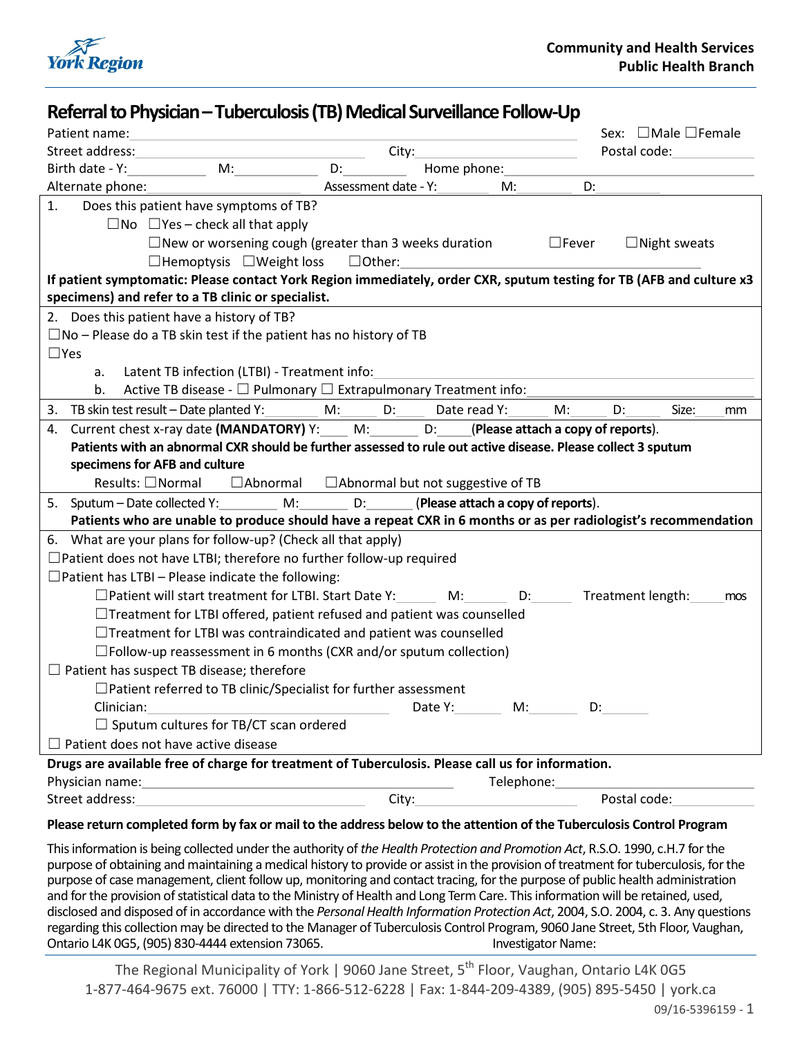

| Referral to Physician – Tuberculosis (TB) Medical Surveillance Follow-Up                                                                |                                             |                                    |                            |
|-----------------------------------------------------------------------------------------------------------------------------------------|---------------------------------------------|------------------------------------|----------------------------|
| Patient name:                                                                                                                           |                                             |                                    | Sex: □Male □Female         |
| Street address:                                                                                                                         | City:                                       |                                    | Postal code:               |
| Birth date - Y:<br>M:<br>D: a control of the state of the state of the state of the state of the state of the state of the state of the | Home phone:                                 |                                    |                            |
| Alternate phone:                                                                                                                        | Assessment date - Y:                        | M:<br>D:                           |                            |
| 1.<br>Does this patient have symptoms of TB?                                                                                            |                                             |                                    |                            |
| $\Box$ No $\Box$ Yes – check all that apply                                                                                             |                                             |                                    |                            |
| $\Box$ New or worsening cough (greater than 3 weeks duration $\Box$ Fever<br>$\Box$ Night sweats                                        |                                             |                                    |                            |
| $\Box$ Hemoptysis $\Box$ Weight loss<br>$\Box$ Other:                                                                                   |                                             |                                    |                            |
| If patient symptomatic: Please contact York Region immediately, order CXR, sputum testing for TB (AFB and culture x3                    |                                             |                                    |                            |
| specimens) and refer to a TB clinic or specialist.                                                                                      |                                             |                                    |                            |
| 2. Does this patient have a history of TB?                                                                                              |                                             |                                    |                            |
| $\square$ No – Please do a TB skin test if the patient has no history of TB                                                             |                                             |                                    |                            |
| $\Box$ Yes                                                                                                                              |                                             |                                    |                            |
| Latent TB infection (LTBI) - Treatment info:<br>a.                                                                                      |                                             |                                    |                            |
| Active TB disease - □ Pulmonary □ Extrapulmonary Treatment info:<br>b.                                                                  |                                             |                                    |                            |
| 3. TB skin test result - Date planted Y: _________ M: _______ D: _____                                                                  | Date read Y:                                | M:                                 | D:<br>Size:<br>mm          |
| 4. Current chest x-ray date (MANDATORY) Y: M: D: (Please attach a copy of reports).                                                     |                                             |                                    |                            |
| Patients with an abnormal CXR should be further assessed to rule out active disease. Please collect 3 sputum                            |                                             |                                    |                            |
| specimens for AFB and culture                                                                                                           |                                             |                                    |                            |
| Results: □Normal<br>$\Box$ Abnormal $\Box$ Abnormal but not suggestive of TB                                                            |                                             |                                    |                            |
| 5. Sputum – Date collected Y:<br>D:<br>M:                                                                                               |                                             | (Please attach a copy of reports). |                            |
| Patients who are unable to produce should have a repeat CXR in 6 months or as per radiologist's recommendation                          |                                             |                                    |                            |
| 6. What are your plans for follow-up? (Check all that apply)                                                                            |                                             |                                    |                            |
| $\Box$ Patient does not have LTBI; therefore no further follow-up required                                                              |                                             |                                    |                            |
| $\Box$ Patient has LTBI – Please indicate the following:                                                                                |                                             |                                    |                            |
| $\Box$ Patient will start treatment for LTBI. Start Date Y: M: M:                                                                       |                                             | $D:$ $\qquad \qquad$               | Treatment length:<br>mos   |
| $\Box$ Treatment for LTBI offered, patient refused and patient was counselled                                                           |                                             |                                    |                            |
| $\Box$ Treatment for LTBI was contraindicated and patient was counselled                                                                |                                             |                                    |                            |
| $\square$ Follow-up reassessment in 6 months (CXR and/or sputum collection)                                                             |                                             |                                    |                            |
| $\Box$ Patient has suspect TB disease; therefore                                                                                        |                                             |                                    |                            |
| $\Box$ Patient referred to TB clinic/Specialist for further assessment                                                                  |                                             |                                    |                            |
| Clinician:<br>the control of the control of the control of the control of the control of                                                | Date Y: __________ M: __________ D: _______ |                                    |                            |
| $\Box$ Sputum cultures for TB/CT scan ordered                                                                                           |                                             |                                    |                            |
| $\Box$ Patient does not have active disease                                                                                             |                                             |                                    |                            |
| Drugs are available free of charge for treatment of Tuberculosis. Please call us for information.                                       |                                             |                                    |                            |
| Telephone:                                                                                                                              |                                             |                                    |                            |
| Street address:                                                                                                                         | City:                                       |                                    | Postal code:______________ |

#### **Please return completed form by fax or mail to the address below to the attention of the Tuberculosis Control Program**

This information is being collected under the authority of *the Health Protection and Promotion Act*, R.S.O. 1990, c.H.7 for the purpose of obtaining and maintaining a medical history to provide or assist in the provision of treatment for tuberculosis, for the purpose of case management, client follow up, monitoring and contact tracing, for the purpose of public health administration and for the provision of statistical data to the Ministry of Health and Long Term Care. This information will be retained, used, disclosed and disposed of in accordance with the *Personal Health Information Protection Act*, 2004, S.O. 2004, c. 3. Any questions regarding this collection may be directed to the Manager of Tuberculosis Control Program, 9060 Jane Street, 5th Floor, Vaughan, Ontario L4K 0G5, (905) 830-4444 extension 73065. Investigator Name:

The Regional Municipality of York | 9060 Jane Street, 5<sup>th</sup> Floor, Vaughan, Ontario L4K 0G5 1-877-464-9675 ext. 76000 | TTY: 1-866-512-6228 | Fax: 1-844-209-4389, (905) 895-5450 | york.ca 09/16-5396159 - 1